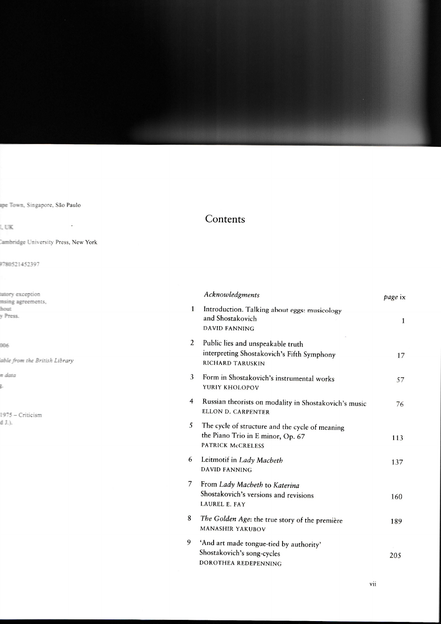## Contents

|   | Acknowledgments                                                                                                  | page ix      |
|---|------------------------------------------------------------------------------------------------------------------|--------------|
| 1 | Introduction. Talking about eggs: musicology<br>and Shostakovich<br><b>DAVID FANNING</b>                         | $\mathbf{1}$ |
| 2 | Public lies and unspeakable truth<br>interpreting Shostakovich's Fifth Symphony<br>RICHARD TARUSKIN              | 17           |
| 3 | Form in Shostakovich's instrumental works<br>YURIY KHOLOPOV                                                      | 57           |
| 4 | Russian theorists on modality in Shostakovich's music<br>ELLON D. CARPENTER                                      | 76           |
| 5 | The cycle of structure and the cycle of meaning<br>the Piano Trio in E minor, Op. 67<br><b>PATRICK McCRELESS</b> | 113          |
| 6 | Leitmotif in Lady Macbeth<br><b>DAVID FANNING</b>                                                                | 137          |
| 7 | From Lady Macbeth to Katerina<br>Shostakovich's versions and revisions<br><b>LAUREL E. FAY</b>                   | 160          |
| 8 | The Golden Age: the true story of the première<br><b>MANASHIR YAKUBOV</b>                                        | 189          |
| 9 | 'And art made tongue-tied by authority'<br>Shostakovich's song-cycles<br>DOROTHEA REDEPENNING                    | 205          |